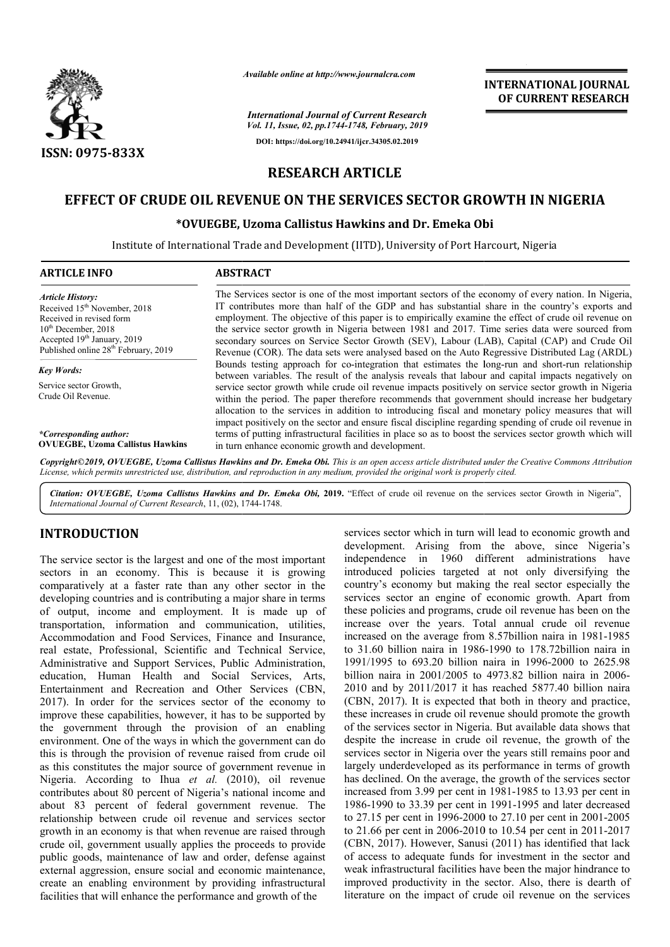

*Available online at http://www.journalcra.com*

*International Journal of Current Research Vol. 11, Issue, 02, pp.1744-1748, February, 2019* **DOI: https://doi.org/10.24941/ijcr.34305.02.2019**



# **RESEARCH ARTICLE**

# **EFFECT OF CRUDE OIL REVENUE ON THE SERVICES SECTOR GROWTH IN NIGERIA**

## **\*OVUEGBE, Uzoma Callistus Hawkins and Dr. Emeka Obi OVUEGBE,**

Institute of International Trade and Development (IITD), University of Port Harcourt, Nigeria

| <b>ARTICLE INFO</b>                                               | <b>ABSTRACT</b>                                                                                                                                                                                                                                                                                                                                                                                                                                                                                                                                                                                                                       |
|-------------------------------------------------------------------|---------------------------------------------------------------------------------------------------------------------------------------------------------------------------------------------------------------------------------------------------------------------------------------------------------------------------------------------------------------------------------------------------------------------------------------------------------------------------------------------------------------------------------------------------------------------------------------------------------------------------------------|
| <b>Article History:</b>                                           | The Services sector is one of the most important sectors of the economy of every nation. In Nigeria,                                                                                                                                                                                                                                                                                                                                                                                                                                                                                                                                  |
| Received 15 <sup>th</sup> November, 2018                          | IT contributes more than half of the GDP and has substantial share in the country's exports and                                                                                                                                                                                                                                                                                                                                                                                                                                                                                                                                       |
| Received in revised form                                          | employment. The objective of this paper is to empirically examine the effect of crude oil revenue on                                                                                                                                                                                                                                                                                                                                                                                                                                                                                                                                  |
| $10th$ December, 2018                                             | the service sector growth in Nigeria between 1981 and 2017. Time series data were sourced from                                                                                                                                                                                                                                                                                                                                                                                                                                                                                                                                        |
| Accepted 19th January, 2019                                       | secondary sources on Service Sector Growth (SEV), Labour (LAB), Capital (CAP) and Crude Oil                                                                                                                                                                                                                                                                                                                                                                                                                                                                                                                                           |
| Published online 28 <sup>th</sup> February, 2019                  | Revenue (COR). The data sets were analysed based on the Auto Regressive Distributed Lag (ARDL)                                                                                                                                                                                                                                                                                                                                                                                                                                                                                                                                        |
| <b>Key Words:</b><br>Service sector Growth,<br>Crude Oil Revenue. | Bounds testing approach for co-integration that estimates the long-run and short-run relationship<br>between variables. The result of the analysis reveals that labour and capital impacts negatively on<br>service sector growth while crude oil revenue impacts positively on service sector growth in Nigeria<br>within the period. The paper therefore recommends that government should increase her budgetary<br>allocation to the services in addition to introducing fiscal and monetary policy measures that will<br>impact positively on the sector and ensure fiscal discipline regarding spending of crude oil revenue in |
| *Corresponding author:                                            | terms of putting infrastructural facilities in place so as to boost the services sector growth which will                                                                                                                                                                                                                                                                                                                                                                                                                                                                                                                             |
| <b>OVUEGBE, Uzoma Callistus Hawkins</b>                           | in turn enhance economic growth and development.                                                                                                                                                                                                                                                                                                                                                                                                                                                                                                                                                                                      |

Copyright©2019, OVUEGBE, Uzoma Callistus Hawkins and Dr. Emeka Obi. This is an open access article distributed under the Creative Commons Attribution License, which permits unrestricted use, distribution, and reproduction in any medium, provided the original work is properly cited.

Citation: OVUEGBE, Uzoma Callistus Hawkins and Dr. Emeka Obi, 2019. "Effect of crude oil revenue on the services sector Growth in Nigeria", *International Journal of Current Research*, 11, (02), 1744 1744-1748.

## **INTRODUCTION**

The service sector is the largest and one of the most important sectors in an economy. This is because it is growing comparatively at a faster rate than any other sector in the developing countries and is contributing a major share in terms of output, income and employment. It is made up of transportation, information and communication, utilities, Accommodation and Food Services, Finance and Insurance, real estate, Professional, Scientific and Technical Service, Administrative and Support Services, Public Administration, education, Human Health and Social Services, Arts, Entertainment and Recreation and Other Services (CBN, 2017). In order for the services sector of the economy to improve these capabilities, however, it has to be supported by the government through the provision of an enabling environment. One of the ways in which the government can do this is through the provision of revenue raised from crude oil as this constitutes the major source of government revenue in Nigeria. According to Ihua *et al.* (2010), oil revenue contributes about 80 percent of Nigeria's national income and about 83 percent of federal government revenue. The relationship between crude oil revenue and services sector growth in an economy is that when revenue are raised through crude oil, government usually applies the proceeds to provide public goods, maintenance of law and order, defense against external aggression, ensure social and economic maintenance, create an enabling environment by providing infrastructural facilities that will enhance the performance and growth of the

**(TRODUCTION**<br>
services sector which in turn will lead to economic growth and<br>evelopment. Arising from the above, since Nigeria's<br>
dectors in a coconomic growth and imagendence in 1960 different administrations<br>
have the development. Arising from the above, since Nigeria's independence in 1960 different administrations have introduced policies targeted at not only diversifying the country's economy but making the real sector especially the services sector an engine of economic growth. Apart from these policies and programs, crude oil revenue has been on the increase over the years. Total annual crude oil revenue increased on the average from 8.57billion naira in 1981-1985 to 31.60 billion naira in 1986 1986-1990 to 178.72billion naira in 1991/1995 to 693.20 billion naira in 1996 1996-2000 to 2625.98 billion naira in 2001/2005 to 4973.82 billion naira in 2006-2010 and by 2011/2017 it has reached 5877.40 billion naira  $2010$  and by  $2011/2017$  it has reached 5877.40 billion naira (CBN,  $2017$ ). It is expected that both in theory and practice, these increases in crude oil revenue should promote the growth of the services sector in Nigeria. But available data shows that despite the increase in crude oil revenue, the growth of the services sector in Nigeria over the years still remains poor and largely underdeveloped as its performance in terms of growth has declined. On the average, the growth of the services sector has declined. On the average, the growth of the services sector increased from 3.99 per cent in 1981-1985 to 13.93 per cent in 1986-1990 to 33.39 per cent in 1991-1995 and later decreased to 27.15 per cent in 1996-2000 to 27.1 2000 to 27.10 per cent in 2001-2005 to 21.66 per cent in 2006-2010 to 10.54 per cent in 2011-2017 (CBN, 2017). However, Sanusi (2011) has identified that lack of access to adequate funds for investment in the sector and weak infrastructural facilities have been the major hindrance to improved productivity in the sector. Also, there is dearth of literature on the impact of crude oil revenue on the services From iteration in turn will lead to economic growth and<br>t. Arising from the above, since Nigeria's<br>e in 1960 different administrations have<br>policies targeted at not only diversifying the<br>conomy but making the real sector e and programs, crude oil revenue has been on the<br>r the years. Total annual crude oil revenue<br>the average from 8.57billion naira in 1981-1985 ncreases in crude oil revenue should promote the growth services sector in Nigeria. But available data shows that <br>e the increase in crude oil revenue, the growth of the sector in Nigeria over the years still remains poor 2011) has identified that lack<br>investment in the sector and<br>e been the major hindrance to **INTERNATIONAL JOURNAL FORMAL CONNECT TEND (CONNECT TRESTANT CONTROL TO THE SURVENT RESEARCH CHE CONNECT TEND (CONNECT TRESTANT INTERNATIONAL LOURNAL CONNECT TEND (CONNECT THE SURVENT RESEARCH AND**  $\frac{1}{2}$  **(FIFT)), Unive**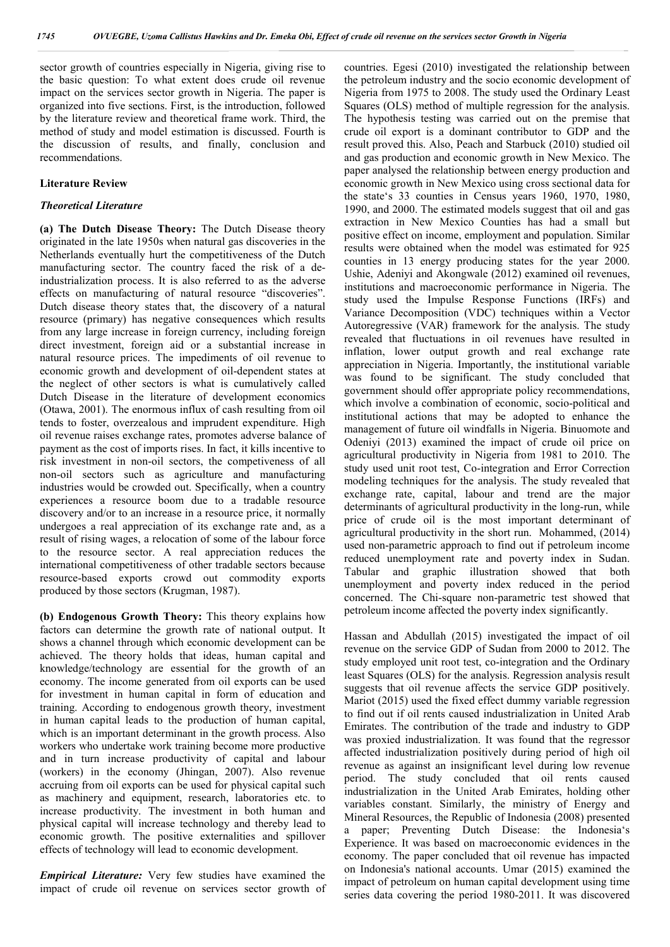sector growth of countries especially in Nigeria, giving rise to the basic question: To what extent does crude oil revenue impact on the services sector growth in Nigeria. The paper is organized into five sections. First, is the introduction, followed by the literature review and theoretical frame work. Third, the method of study and model estimation is discussed. Fourth is the discussion of results, and finally, conclusion and recommendations.

#### **Literature Review**

#### *Theoretical Literature*

**(a) The Dutch Disease Theory:** The Dutch Disease theory originated in the late 1950s when natural gas discoveries in the Netherlands eventually hurt the competitiveness of the Dutch manufacturing sector. The country faced the risk of a deindustrialization process. It is also referred to as the adverse effects on manufacturing of natural resource "discoveries". Dutch disease theory states that, the discovery of a natural resource (primary) has negative consequences which results from any large increase in foreign currency, including foreign direct investment, foreign aid or a substantial increase in natural resource prices. The impediments of oil revenue to economic growth and development of oil-dependent states at the neglect of other sectors is what is cumulatively called Dutch Disease in the literature of development economics (Otawa, 2001). The enormous influx of cash resulting from oil tends to foster, overzealous and imprudent expenditure. High oil revenue raises exchange rates, promotes adverse balance of payment as the cost of imports rises. In fact, it kills incentive to risk investment in non-oil sectors, the competiveness of all non-oil sectors such as agriculture and manufacturing industries would be crowded out. Specifically, when a country experiences a resource boom due to a tradable resource discovery and/or to an increase in a resource price, it normally undergoes a real appreciation of its exchange rate and, as a result of rising wages, a relocation of some of the labour force to the resource sector. A real appreciation reduces the international competitiveness of other tradable sectors because resource-based exports crowd out commodity exports produced by those sectors (Krugman, 1987).

**(b) Endogenous Growth Theory:** This theory explains how factors can determine the growth rate of national output. It shows a channel through which economic development can be achieved. The theory holds that ideas, human capital and knowledge/technology are essential for the growth of an economy. The income generated from oil exports can be used for investment in human capital in form of education and training. According to endogenous growth theory, investment in human capital leads to the production of human capital, which is an important determinant in the growth process. Also workers who undertake work training become more productive and in turn increase productivity of capital and labour (workers) in the economy (Jhingan, 2007). Also revenue accruing from oil exports can be used for physical capital such as machinery and equipment, research, laboratories etc. to increase productivity. The investment in both human and physical capital will increase technology and thereby lead to economic growth. The positive externalities and spillover effects of technology will lead to economic development.

*Empirical Literature:* Very few studies have examined the impact of crude oil revenue on services sector growth of countries. Egesi (2010) investigated the relationship between the petroleum industry and the socio economic development of Nigeria from 1975 to 2008. The study used the Ordinary Least Squares (OLS) method of multiple regression for the analysis. The hypothesis testing was carried out on the premise that crude oil export is a dominant contributor to GDP and the result proved this. Also, Peach and Starbuck (2010) studied oil and gas production and economic growth in New Mexico. The paper analysed the relationship between energy production and economic growth in New Mexico using cross sectional data for the state's 33 counties in Census years 1960, 1970, 1980, 1990, and 2000. The estimated models suggest that oil and gas extraction in New Mexico Counties has had a small but positive effect on income, employment and population. Similar results were obtained when the model was estimated for 925 counties in 13 energy producing states for the year 2000. Ushie, Adeniyi and Akongwale (2012) examined oil revenues, institutions and macroeconomic performance in Nigeria. The study used the Impulse Response Functions (IRFs) and Variance Decomposition (VDC) techniques within a Vector Autoregressive (VAR) framework for the analysis. The study revealed that fluctuations in oil revenues have resulted in inflation, lower output growth and real exchange rate appreciation in Nigeria. Importantly, the institutional variable was found to be significant. The study concluded that government should offer appropriate policy recommendations, which involve a combination of economic, socio-political and institutional actions that may be adopted to enhance the management of future oil windfalls in Nigeria. Binuomote and Odeniyi (2013) examined the impact of crude oil price on agricultural productivity in Nigeria from 1981 to 2010. The study used unit root test, Co-integration and Error Correction modeling techniques for the analysis. The study revealed that exchange rate, capital, labour and trend are the major determinants of agricultural productivity in the long-run, while price of crude oil is the most important determinant of agricultural productivity in the short run. Mohammed, (2014) used non-parametric approach to find out if petroleum income reduced unemployment rate and poverty index in Sudan. Tabular and graphic illustration showed that both unemployment and poverty index reduced in the period concerned. The Chi-square non-parametric test showed that petroleum income affected the poverty index significantly.

Hassan and Abdullah (2015) investigated the impact of oil revenue on the service GDP of Sudan from 2000 to 2012. The study employed unit root test, co-integration and the Ordinary least Squares (OLS) for the analysis. Regression analysis result suggests that oil revenue affects the service GDP positively. Mariot (2015) used the fixed effect dummy variable regression to find out if oil rents caused industrialization in United Arab Emirates. The contribution of the trade and industry to GDP was proxied industrialization. It was found that the regressor affected industrialization positively during period of high oil revenue as against an insignificant level during low revenue period. The study concluded that oil rents caused industrialization in the United Arab Emirates, holding other variables constant. Similarly, the ministry of Energy and Mineral Resources, the Republic of Indonesia (2008) presented a paper; Preventing Dutch Disease: the Indonesia's Experience. It was based on macroeconomic evidences in the economy. The paper concluded that oil revenue has impacted on Indonesia's national accounts. Umar (2015) examined the impact of petroleum on human capital development using time series data covering the period 1980-2011. It was discovered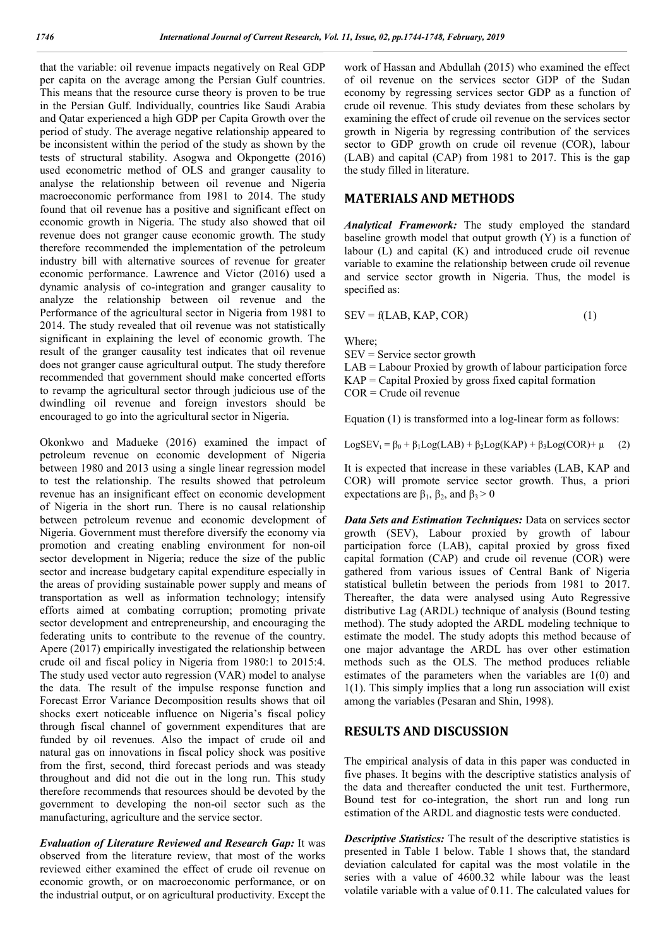that the variable: oil revenue impacts negatively on Real GDP per capita on the average among the Persian Gulf countries. This means that the resource curse theory is proven to be true in the Persian Gulf. Individually, countries like Saudi Arabia and Qatar experienced a high GDP per Capita Growth over the period of study. The average negative relationship appeared to be inconsistent within the period of the study as shown by the tests of structural stability. Asogwa and Okpongette (2016) used econometric method of OLS and granger causality to analyse the relationship between oil revenue and Nigeria macroeconomic performance from 1981 to 2014. The study found that oil revenue has a positive and significant effect on economic growth in Nigeria. The study also showed that oil revenue does not granger cause economic growth. The study therefore recommended the implementation of the petroleum industry bill with alternative sources of revenue for greater economic performance. Lawrence and Victor (2016) used a dynamic analysis of co-integration and granger causality to analyze the relationship between oil revenue and the Performance of the agricultural sector in Nigeria from 1981 to 2014. The study revealed that oil revenue was not statistically significant in explaining the level of economic growth. The result of the granger causality test indicates that oil revenue does not granger cause agricultural output. The study therefore recommended that government should make concerted efforts to revamp the agricultural sector through judicious use of the dwindling oil revenue and foreign investors should be encouraged to go into the agricultural sector in Nigeria.

Okonkwo and Madueke (2016) examined the impact of petroleum revenue on economic development of Nigeria between 1980 and 2013 using a single linear regression model to test the relationship. The results showed that petroleum revenue has an insignificant effect on economic development of Nigeria in the short run. There is no causal relationship between petroleum revenue and economic development of Nigeria. Government must therefore diversify the economy via promotion and creating enabling environment for non-oil sector development in Nigeria; reduce the size of the public sector and increase budgetary capital expenditure especially in the areas of providing sustainable power supply and means of transportation as well as information technology; intensify efforts aimed at combating corruption; promoting private sector development and entrepreneurship, and encouraging the federating units to contribute to the revenue of the country. Apere (2017) empirically investigated the relationship between crude oil and fiscal policy in Nigeria from 1980:1 to 2015:4. The study used vector auto regression (VAR) model to analyse the data. The result of the impulse response function and Forecast Error Variance Decomposition results shows that oil shocks exert noticeable influence on Nigeria's fiscal policy through fiscal channel of government expenditures that are funded by oil revenues. Also the impact of crude oil and natural gas on innovations in fiscal policy shock was positive from the first, second, third forecast periods and was steady throughout and did not die out in the long run. This study therefore recommends that resources should be devoted by the government to developing the non-oil sector such as the manufacturing, agriculture and the service sector.

*Evaluation of Literature Reviewed and Research Gap:* It was observed from the literature review, that most of the works reviewed either examined the effect of crude oil revenue on economic growth, or on macroeconomic performance, or on the industrial output, or on agricultural productivity. Except the

work of Hassan and Abdullah (2015) who examined the effect of oil revenue on the services sector GDP of the Sudan economy by regressing services sector GDP as a function of crude oil revenue. This study deviates from these scholars by examining the effect of crude oil revenue on the services sector growth in Nigeria by regressing contribution of the services sector to GDP growth on crude oil revenue (COR), labour (LAB) and capital (CAP) from 1981 to 2017. This is the gap the study filled in literature.

#### **MATERIALS AND METHODS**

*Analytical Framework:* The study employed the standard baseline growth model that output growth (Y) is a function of labour (L) and capital (K) and introduced crude oil revenue variable to examine the relationship between crude oil revenue and service sector growth in Nigeria. Thus, the model is specified as:

$$
SEV = f(LAB, KAP, COR)
$$
 (1)

Where;

SEV = Service sector growth

LAB = Labour Proxied by growth of labour participation force  $KAP =$  Capital Proxied by gross fixed capital formation

COR = Crude oil revenue

Equation (1) is transformed into a log-linear form as follows:

LogSEV<sub>t</sub> =  $\beta_0$  +  $\beta_1$ Log(LAB) +  $\beta_2$ Log(KAP) +  $\beta_3$ Log(COR) +  $\mu$  (2)

It is expected that increase in these variables (LAB, KAP and COR) will promote service sector growth. Thus, a priori expectations are  $\beta_1$ ,  $\beta_2$ , and  $\beta_3 > 0$ 

*Data Sets and Estimation Techniques:* Data on services sector growth (SEV), Labour proxied by growth of labour participation force (LAB), capital proxied by gross fixed capital formation (CAP) and crude oil revenue (COR) were gathered from various issues of Central Bank of Nigeria statistical bulletin between the periods from 1981 to 2017. Thereafter, the data were analysed using Auto Regressive distributive Lag (ARDL) technique of analysis (Bound testing method). The study adopted the ARDL modeling technique to estimate the model. The study adopts this method because of one major advantage the ARDL has over other estimation methods such as the OLS. The method produces reliable estimates of the parameters when the variables are 1(0) and 1(1). This simply implies that a long run association will exist among the variables (Pesaran and Shin, 1998).

### **RESULTS AND DISCUSSION**

The empirical analysis of data in this paper was conducted in five phases. It begins with the descriptive statistics analysis of the data and thereafter conducted the unit test. Furthermore, Bound test for co-integration, the short run and long run estimation of the ARDL and diagnostic tests were conducted.

*Descriptive Statistics:* The result of the descriptive statistics is presented in Table 1 below. Table 1 shows that, the standard deviation calculated for capital was the most volatile in the series with a value of 4600.32 while labour was the least volatile variable with a value of 0.11. The calculated values for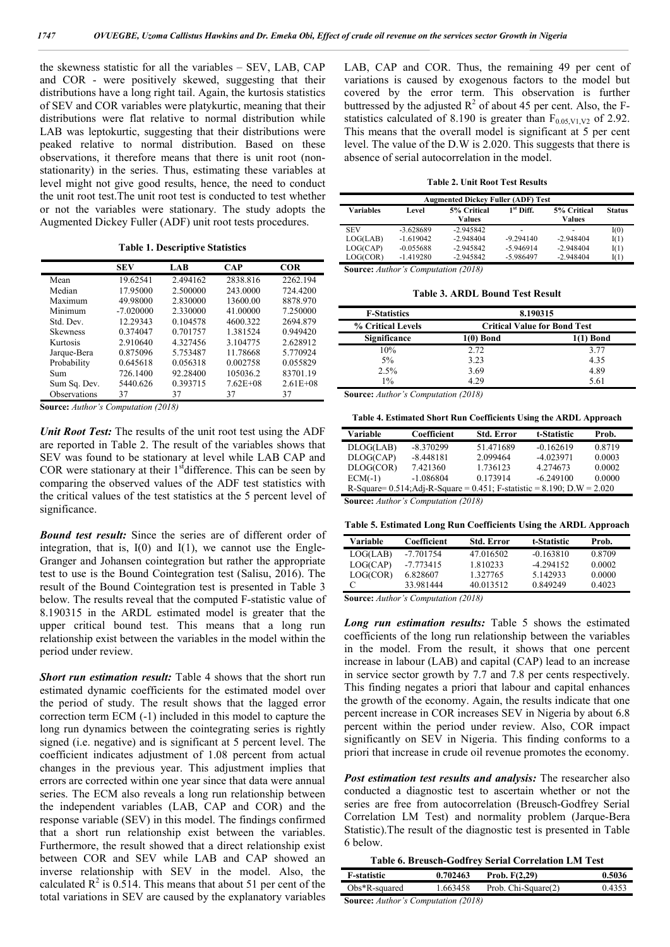the skewness statistic for all the variables – SEV, LAB, CAP and COR - were positively skewed, suggesting that their distributions have a long right tail. Again, the kurtosis statistics of SEV and COR variables were platykurtic, meaning that their distributions were flat relative to normal distribution while LAB was leptokurtic, suggesting that their distributions were peaked relative to normal distribution. Based on these observations, it therefore means that there is unit root (nonstationarity) in the series. Thus, estimating these variables at level might not give good results, hence, the need to conduct the unit root test.The unit root test is conducted to test whether or not the variables were stationary. The study adopts the Augmented Dickey Fuller (ADF) unit root tests procedures.

**Table 1. Descriptive Statistics**

|                 | <b>SEV</b>  | LAB      | <b>CAP</b>   | <b>COR</b>   |
|-----------------|-------------|----------|--------------|--------------|
| Mean            | 19.62541    | 2.494162 | 2838.816     | 2262.194     |
| Median          | 17.95000    | 2.500000 | 243,0000     | 724.4200     |
| Maximum         | 49.98000    | 2.830000 | 13600.00     | 8878.970     |
| Minimum         | $-7.020000$ | 2.330000 | 41.00000     | 7.250000     |
| Std. Dev.       | 12.29343    | 0.104578 | 4600.322     | 2694.879     |
| <b>Skewness</b> | 0.374047    | 0.701757 | 1.381524     | 0.949420     |
| Kurtosis        | 2.910640    | 4.327456 | 3.104775     | 2.628912     |
| Jarque-Bera     | 0.875096    | 5.753487 | 11.78668     | 5.770924     |
| Probability     | 0.645618    | 0.056318 | 0.002758     | 0.055829     |
| Sum             | 726.1400    | 92.28400 | 105036.2     | 83701.19     |
| Sum Sq. Dev.    | 5440.626    | 0.393715 | $7.62E + 08$ | $2.61E + 08$ |
| Observations    | 37          | 37       | 37           | 37           |

**Source:** *Author's Computation (2018)*

*Unit Root Test:* The results of the unit root test using the ADF are reported in Table 2. The result of the variables shows that SEV was found to be stationary at level while LAB CAP and COR were stationary at their  $1<sup>st</sup>$  difference. This can be seen by comparing the observed values of the ADF test statistics with the critical values of the test statistics at the 5 percent level of significance.

*Bound test result:* Since the series are of different order of integration, that is,  $I(0)$  and  $I(1)$ , we cannot use the Engle-Granger and Johansen cointegration but rather the appropriate test to use is the Bound Cointegration test (Salisu, 2016). The result of the Bound Cointegration test is presented in Table 3 below. The results reveal that the computed F-statistic value of 8.190315 in the ARDL estimated model is greater that the upper critical bound test. This means that a long run relationship exist between the variables in the model within the period under review.

*Short run estimation result:* Table 4 shows that the short run estimated dynamic coefficients for the estimated model over the period of study. The result shows that the lagged error correction term ECM (-1) included in this model to capture the long run dynamics between the cointegrating series is rightly signed (i.e. negative) and is significant at 5 percent level. The coefficient indicates adjustment of 1.08 percent from actual changes in the previous year. This adjustment implies that errors are corrected within one year since that data were annual series. The ECM also reveals a long run relationship between the independent variables (LAB, CAP and COR) and the response variable (SEV) in this model. The findings confirmed that a short run relationship exist between the variables. Furthermore, the result showed that a direct relationship exist between COR and SEV while LAB and CAP showed an inverse relationship with SEV in the model. Also, the calculated  $\mathbb{R}^2$  is 0.514. This means that about 51 per cent of the total variations in SEV are caused by the explanatory variables LAB, CAP and COR. Thus, the remaining 49 per cent of variations is caused by exogenous factors to the model but covered by the error term. This observation is further buttressed by the adjusted  $R^2$  of about 45 per cent. Also, the Fstatistics calculated of 8.190 is greater than  $F_{0.05, V1, V2}$  of 2.92. This means that the overall model is significant at 5 per cent level. The value of the D.W is 2.020. This suggests that there is absence of serial autocorrelation in the model.

| <b>Augmented Dickey Fuller (ADF) Test</b> |             |                              |             |                       |               |
|-------------------------------------------|-------------|------------------------------|-------------|-----------------------|---------------|
| <b>Variables</b>                          | Level       | 5% Critical<br><b>Values</b> | $1st$ Diff. | 5% Critical<br>Values | <b>Status</b> |
| <b>SEV</b>                                | $-3.628689$ | $-2.945842$                  | -           | -                     | I(0)          |
| LOG(LAB)                                  | $-1.619042$ | $-2.948404$                  | $-9.294140$ | $-2.948404$           | I(1)          |
| LOG(CAP)                                  | $-0.055688$ | $-2.945842$                  | $-5.946914$ | $-2.948404$           | I(1)          |
| LOG(COR)                                  | $-1.419280$ | $-2.945842$                  | $-5.986497$ | $-2.948404$           | I(1)          |

**Source:** *Author's Computation (2018)*

**Table 3. ARDL Bound Test Result**

| <b>F-Statistics</b> | 8.190315  |                                     |
|---------------------|-----------|-------------------------------------|
| % Critical Levels   |           | <b>Critical Value for Bond Test</b> |
| Significance        | 1(0) Bond | 1(1) Bond                           |
| 10%                 | 2.72      | 3.77                                |
| 5%                  | 3.23      | 4.35                                |
| 2.5%                | 3.69      | 4.89                                |
| $1\%$               | 4 29      | 5.61                                |

**Source:** *Author's Computation (2018)*

**Table 4. Estimated Short Run Coefficients Using the ARDL Approach**

| Variable                                                                           | Coefficient | <b>Std. Error</b> | t-Statistic | Prob.  |  |
|------------------------------------------------------------------------------------|-------------|-------------------|-------------|--------|--|
| DLOG(LAB)                                                                          | $-8.370299$ | 51.471689         | $-0.162619$ | 0.8719 |  |
| DLOG(CAP)                                                                          | $-8.448181$ | 2.099464          | $-4.023971$ | 0.0003 |  |
| DLOG(COR)                                                                          | 7.421360    | 1.736123          | 4.274673    | 0.0002 |  |
| $ECM(-1)$                                                                          | $-1.086804$ | 0.173914          | $-6.249100$ | 0.0000 |  |
| R-Square= $0.514$ ; Adj-R-Square = $0.451$ ; F-statistic = $8.190$ ; D.W = $2.020$ |             |                   |             |        |  |
|                                                                                    |             |                   |             |        |  |

**Source:** *Author's Computation (2018)*

**Table 5. Estimated Long Run Coefficients Using the ARDL Approach**

| Variable | Coefficient | <b>Std. Error</b> | t-Statistic | Prob.  |
|----------|-------------|-------------------|-------------|--------|
| LOG(LAB) | $-7.701754$ | 47.016502         | $-0.163810$ | 0.8709 |
| LOG(CAP) | $-7.773415$ | 1.810233          | $-4.294152$ | 0.0002 |
| LOG(COR) | 6.828607    | 1.327765          | 5.142933    | 0.0000 |
|          | 33.981444   | 40.013512         | 0.849249    | 0.4023 |

**Source:** *Author's Computation (2018)*

*Long run estimation results:* Table 5 shows the estimated coefficients of the long run relationship between the variables in the model. From the result, it shows that one percent increase in labour (LAB) and capital (CAP) lead to an increase in service sector growth by 7.7 and 7.8 per cents respectively. This finding negates a priori that labour and capital enhances the growth of the economy. Again, the results indicate that one percent increase in COR increases SEV in Nigeria by about 6.8 percent within the period under review. Also, COR impact significantly on SEV in Nigeria. This finding conforms to a priori that increase in crude oil revenue promotes the economy.

*Post estimation test results and analysis:* The researcher also conducted a diagnostic test to ascertain whether or not the series are free from autocorrelation (Breusch-Godfrey Serial Correlation LM Test) and normality problem (Jarque-Bera Statistic).The result of the diagnostic test is presented in Table 6 below.

| Table 6. Breusch-Godfrey Serial Correlation LM Test |  |  |  |  |  |  |
|-----------------------------------------------------|--|--|--|--|--|--|
|-----------------------------------------------------|--|--|--|--|--|--|

| <b>F-statistic</b>                         | 0.702463 | Prob. $F(2,29)$     | 0.5036 |  |  |
|--------------------------------------------|----------|---------------------|--------|--|--|
| $Obs*R$ -squared                           | 1.663458 | Prob. Chi-Square(2) | 0.4353 |  |  |
| <b>Source:</b> Author's Computation (2018) |          |                     |        |  |  |

**Source:** *Author's Computation (2018)*